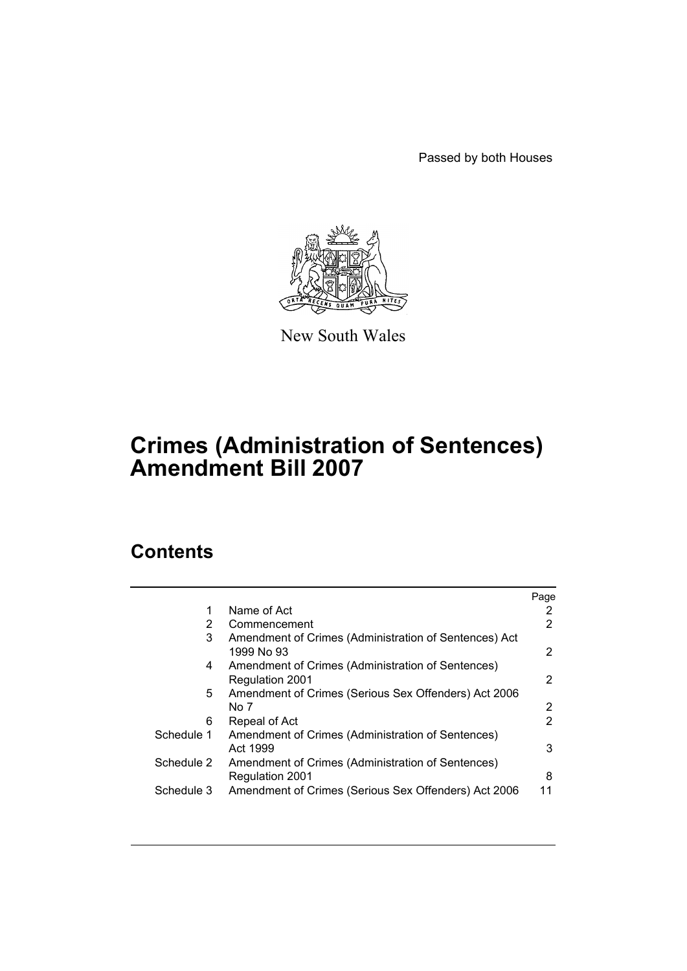Passed by both Houses



New South Wales

# **Crimes (Administration of Sentences) Amendment Bill 2007**

# **Contents**

|            |                                                                             | Page |
|------------|-----------------------------------------------------------------------------|------|
| 1          | Name of Act                                                                 | 2    |
| 2          | Commencement                                                                | 2    |
| 3          | Amendment of Crimes (Administration of Sentences) Act<br>1999 No 93         | 2    |
| 4          | Amendment of Crimes (Administration of Sentences)<br><b>Regulation 2001</b> | 2    |
| 5.         | Amendment of Crimes (Serious Sex Offenders) Act 2006<br>No 7                | 2    |
| 6          | Repeal of Act                                                               | 2    |
| Schedule 1 | Amendment of Crimes (Administration of Sentences)<br>Act 1999               | 3    |
| Schedule 2 | Amendment of Crimes (Administration of Sentences)<br>Regulation 2001        | 8    |
| Schedule 3 | Amendment of Crimes (Serious Sex Offenders) Act 2006                        | 11   |
|            |                                                                             |      |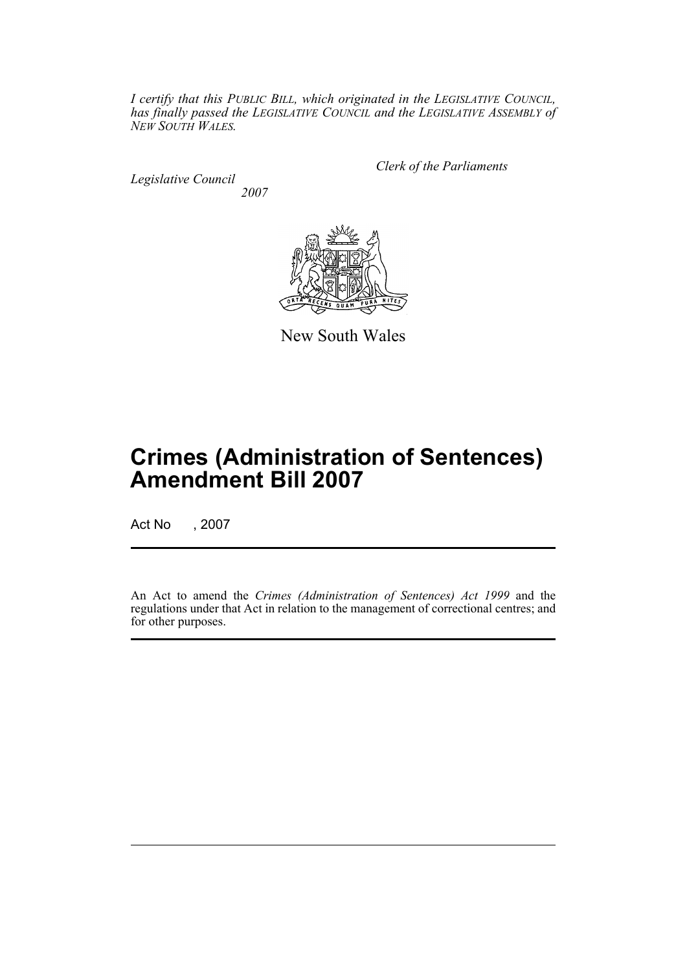*I certify that this PUBLIC BILL, which originated in the LEGISLATIVE COUNCIL, has finally passed the LEGISLATIVE COUNCIL and the LEGISLATIVE ASSEMBLY of NEW SOUTH WALES.*

*Legislative Council 2007* *Clerk of the Parliaments*



New South Wales

# **Crimes (Administration of Sentences) Amendment Bill 2007**

Act No , 2007

An Act to amend the *Crimes (Administration of Sentences) Act 1999* and the regulations under that Act in relation to the management of correctional centres; and for other purposes.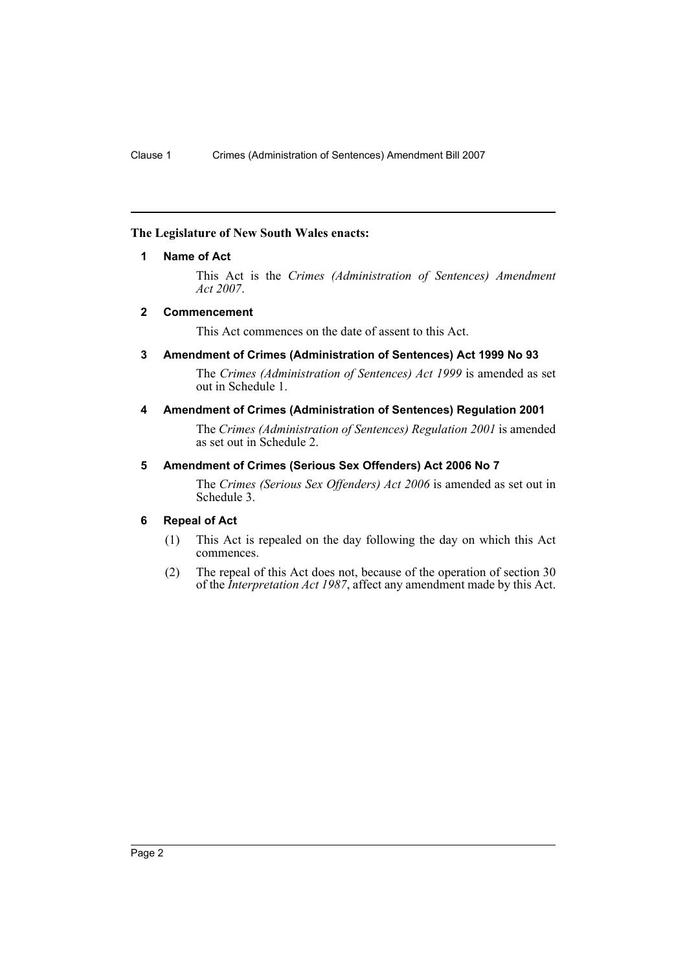# <span id="page-2-0"></span>**The Legislature of New South Wales enacts:**

# **1 Name of Act**

This Act is the *Crimes (Administration of Sentences) Amendment Act 2007*.

# <span id="page-2-1"></span>**2 Commencement**

This Act commences on the date of assent to this Act.

# <span id="page-2-2"></span>**3 Amendment of Crimes (Administration of Sentences) Act 1999 No 93**

The *Crimes (Administration of Sentences) Act 1999* is amended as set out in Schedule 1.

# <span id="page-2-3"></span>**4 Amendment of Crimes (Administration of Sentences) Regulation 2001**

The *Crimes (Administration of Sentences) Regulation 2001* is amended as set out in Schedule 2.

# <span id="page-2-4"></span>**5 Amendment of Crimes (Serious Sex Offenders) Act 2006 No 7**

The *Crimes (Serious Sex Offenders) Act 2006* is amended as set out in Schedule 3.

### <span id="page-2-5"></span>**6 Repeal of Act**

- (1) This Act is repealed on the day following the day on which this Act commences.
- (2) The repeal of this Act does not, because of the operation of section 30 of the *Interpretation Act 1987*, affect any amendment made by this Act.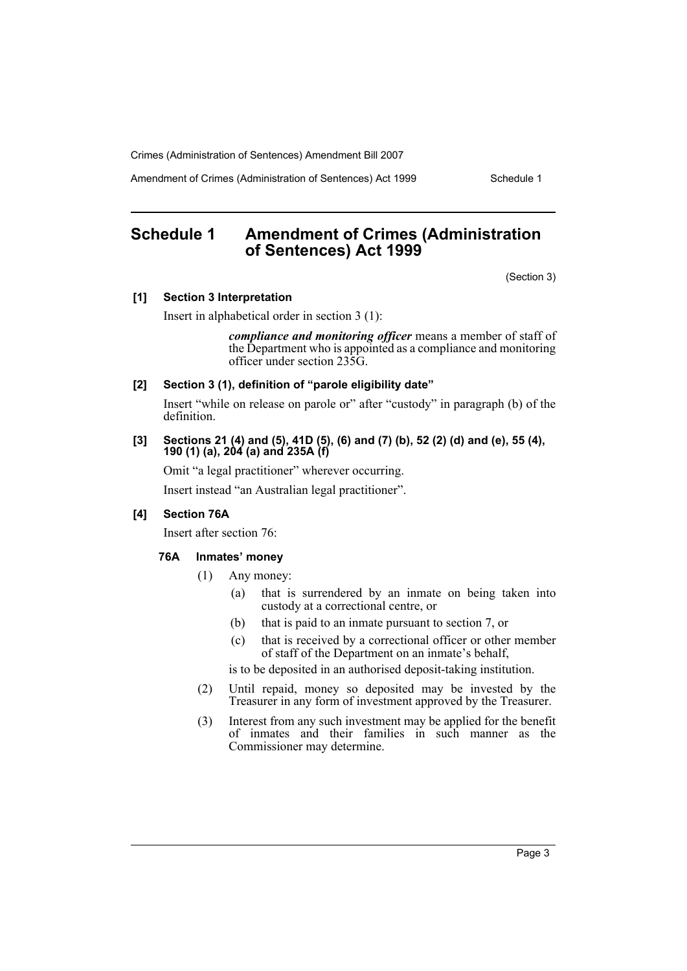Amendment of Crimes (Administration of Sentences) Act 1999 Schedule 1

# <span id="page-3-0"></span>**Schedule 1 Amendment of Crimes (Administration of Sentences) Act 1999**

(Section 3)

#### **[1] Section 3 Interpretation**

Insert in alphabetical order in section 3 (1):

*compliance and monitoring officer* means a member of staff of the Department who is appointed as a compliance and monitoring officer under section 235G.

**[2] Section 3 (1), definition of "parole eligibility date"**

Insert "while on release on parole or" after "custody" in paragraph (b) of the definition.

## **[3] Sections 21 (4) and (5), 41D (5), (6) and (7) (b), 52 (2) (d) and (e), 55 (4), 190 (1) (a), 204 (a) and 235A (f)**

Omit "a legal practitioner" wherever occurring.

Insert instead "an Australian legal practitioner".

# **[4] Section 76A**

Insert after section 76:

### **76A Inmates' money**

- (1) Any money:
	- (a) that is surrendered by an inmate on being taken into custody at a correctional centre, or
	- (b) that is paid to an inmate pursuant to section 7, or
	- (c) that is received by a correctional officer or other member of staff of the Department on an inmate's behalf,

is to be deposited in an authorised deposit-taking institution.

- (2) Until repaid, money so deposited may be invested by the Treasurer in any form of investment approved by the Treasurer.
- (3) Interest from any such investment may be applied for the benefit of inmates and their families in such manner as the Commissioner may determine.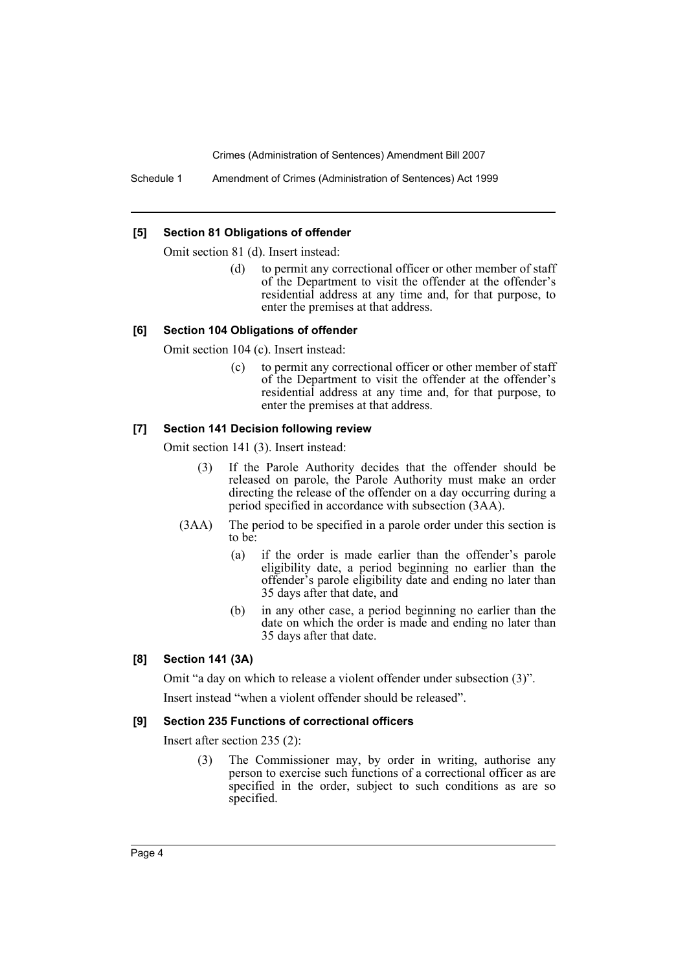Schedule 1 Amendment of Crimes (Administration of Sentences) Act 1999

#### **[5] Section 81 Obligations of offender**

Omit section 81 (d). Insert instead:

(d) to permit any correctional officer or other member of staff of the Department to visit the offender at the offender's residential address at any time and, for that purpose, to enter the premises at that address.

### **[6] Section 104 Obligations of offender**

Omit section 104 (c). Insert instead:

(c) to permit any correctional officer or other member of staff of the Department to visit the offender at the offender's residential address at any time and, for that purpose, to enter the premises at that address.

## **[7] Section 141 Decision following review**

Omit section 141 (3). Insert instead:

- (3) If the Parole Authority decides that the offender should be released on parole, the Parole Authority must make an order directing the release of the offender on a day occurring during a period specified in accordance with subsection (3AA).
- (3AA) The period to be specified in a parole order under this section is to be:
	- (a) if the order is made earlier than the offender's parole eligibility date, a period beginning no earlier than the offender's parole eligibility date and ending no later than 35 days after that date, and
	- (b) in any other case, a period beginning no earlier than the date on which the order is made and ending no later than 35 days after that date.

### **[8] Section 141 (3A)**

Omit "a day on which to release a violent offender under subsection (3)".

Insert instead "when a violent offender should be released".

#### **[9] Section 235 Functions of correctional officers**

Insert after section 235 (2):

(3) The Commissioner may, by order in writing, authorise any person to exercise such functions of a correctional officer as are specified in the order, subject to such conditions as are so specified.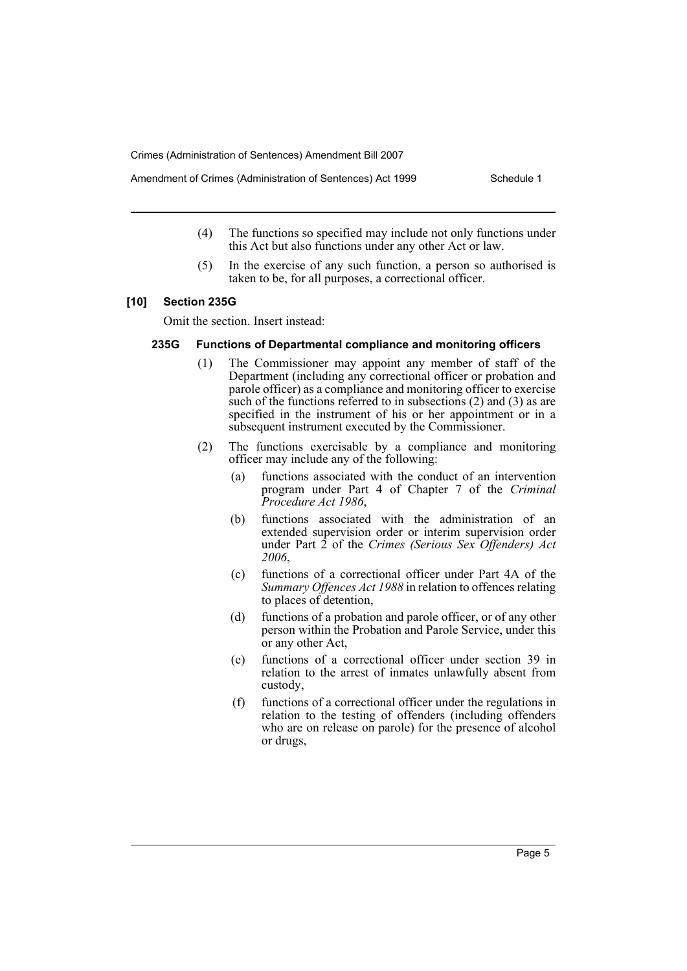- Amendment of Crimes (Administration of Sentences) Act 1999 Schedule 1
	- (4) The functions so specified may include not only functions under this Act but also functions under any other Act or law.
	- (5) In the exercise of any such function, a person so authorised is taken to be, for all purposes, a correctional officer.

# **[10] Section 235G**

Omit the section. Insert instead:

### **235G Functions of Departmental compliance and monitoring officers**

- (1) The Commissioner may appoint any member of staff of the Department (including any correctional officer or probation and parole officer) as a compliance and monitoring officer to exercise such of the functions referred to in subsections (2) and (3) as are specified in the instrument of his or her appointment or in a subsequent instrument executed by the Commissioner.
- (2) The functions exercisable by a compliance and monitoring officer may include any of the following:
	- (a) functions associated with the conduct of an intervention program under Part 4 of Chapter 7 of the *Criminal Procedure Act 1986*,
	- (b) functions associated with the administration of an extended supervision order or interim supervision order under Part 2 of the *Crimes (Serious Sex Offenders) Act 2006*,
	- (c) functions of a correctional officer under Part 4A of the *Summary Offences Act 1988* in relation to offences relating to places of detention,
	- (d) functions of a probation and parole officer, or of any other person within the Probation and Parole Service, under this or any other Act,
	- (e) functions of a correctional officer under section 39 in relation to the arrest of inmates unlawfully absent from custody,
	- (f) functions of a correctional officer under the regulations in relation to the testing of offenders (including offenders who are on release on parole) for the presence of alcohol or drugs,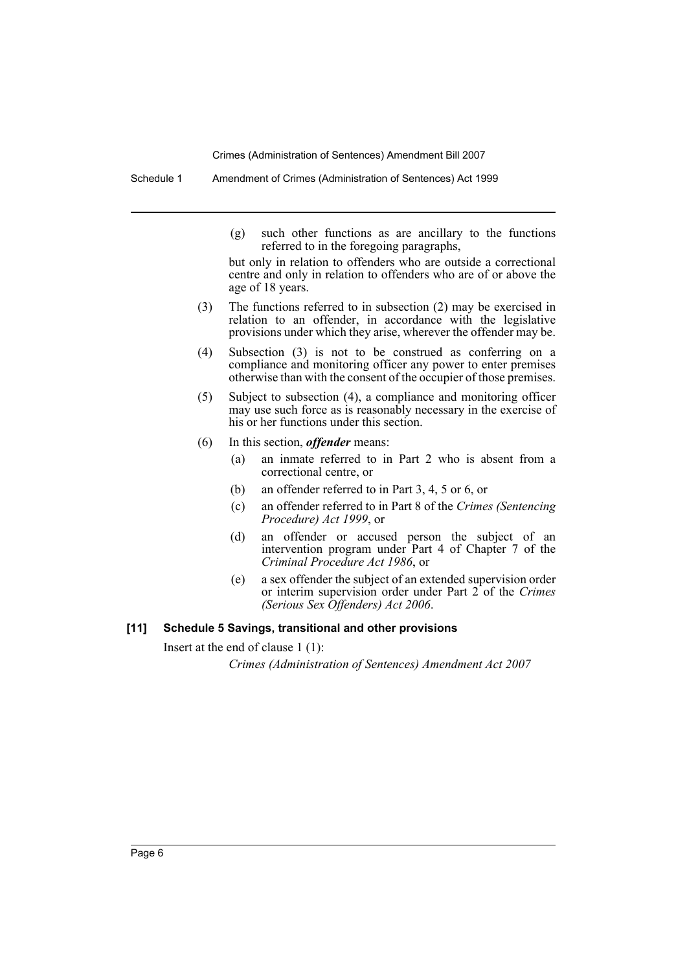Schedule 1 Amendment of Crimes (Administration of Sentences) Act 1999

(g) such other functions as are ancillary to the functions referred to in the foregoing paragraphs,

but only in relation to offenders who are outside a correctional centre and only in relation to offenders who are of or above the age of 18 years.

- (3) The functions referred to in subsection (2) may be exercised in relation to an offender, in accordance with the legislative provisions under which they arise, wherever the offender may be.
- (4) Subsection (3) is not to be construed as conferring on a compliance and monitoring officer any power to enter premises otherwise than with the consent of the occupier of those premises.
- (5) Subject to subsection (4), a compliance and monitoring officer may use such force as is reasonably necessary in the exercise of his or her functions under this section.
- (6) In this section, *offender* means:
	- (a) an inmate referred to in Part 2 who is absent from a correctional centre, or
	- (b) an offender referred to in Part 3, 4, 5 or 6, or
	- (c) an offender referred to in Part 8 of the *Crimes (Sentencing Procedure) Act 1999*, or
	- (d) an offender or accused person the subject of an intervention program under Part 4 of Chapter 7 of the *Criminal Procedure Act 1986*, or
	- (e) a sex offender the subject of an extended supervision order or interim supervision order under Part 2 of the *Crimes (Serious Sex Offenders) Act 2006*.

# **[11] Schedule 5 Savings, transitional and other provisions**

Insert at the end of clause 1 (1):

*Crimes (Administration of Sentences) Amendment Act 2007*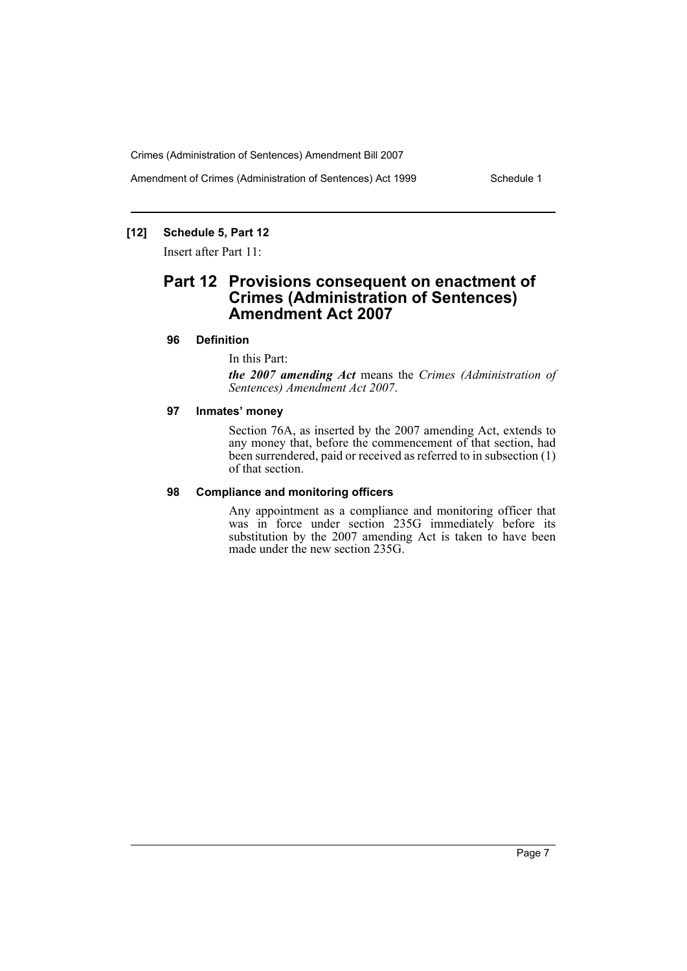Amendment of Crimes (Administration of Sentences) Act 1999 Schedule 1

# **[12] Schedule 5, Part 12**

Insert after Part 11:

# **Part 12 Provisions consequent on enactment of Crimes (Administration of Sentences) Amendment Act 2007**

### **96 Definition**

In this Part:

*the 2007 amending Act* means the *Crimes (Administration of Sentences) Amendment Act 2007*.

### **97 Inmates' money**

Section 76A, as inserted by the 2007 amending Act, extends to any money that, before the commencement of that section, had been surrendered, paid or received as referred to in subsection (1) of that section.

### **98 Compliance and monitoring officers**

Any appointment as a compliance and monitoring officer that was in force under section 235G immediately before its substitution by the 2007 amending Act is taken to have been made under the new section 235G.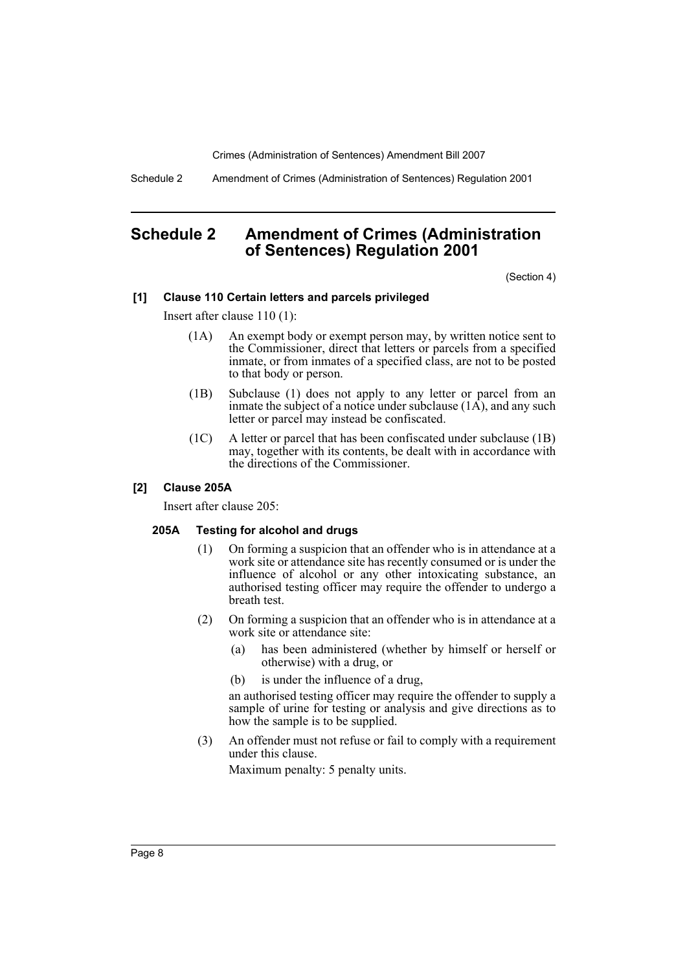Schedule 2 Amendment of Crimes (Administration of Sentences) Regulation 2001

# <span id="page-8-0"></span>**Schedule 2 Amendment of Crimes (Administration of Sentences) Regulation 2001**

(Section 4)

### **[1] Clause 110 Certain letters and parcels privileged**

Insert after clause 110 (1):

- (1A) An exempt body or exempt person may, by written notice sent to the Commissioner, direct that letters or parcels from a specified inmate, or from inmates of a specified class, are not to be posted to that body or person.
- (1B) Subclause (1) does not apply to any letter or parcel from an inmate the subject of a notice under subclause  $(1\overrightarrow{A})$ , and any such letter or parcel may instead be confiscated.
- (1C) A letter or parcel that has been confiscated under subclause (1B) may, together with its contents, be dealt with in accordance with the directions of the Commissioner.

# **[2] Clause 205A**

Insert after clause 205:

### **205A Testing for alcohol and drugs**

- (1) On forming a suspicion that an offender who is in attendance at a work site or attendance site has recently consumed or is under the influence of alcohol or any other intoxicating substance, an authorised testing officer may require the offender to undergo a breath test.
- (2) On forming a suspicion that an offender who is in attendance at a work site or attendance site:
	- (a) has been administered (whether by himself or herself or otherwise) with a drug, or
	- (b) is under the influence of a drug,

an authorised testing officer may require the offender to supply a sample of urine for testing or analysis and give directions as to how the sample is to be supplied.

(3) An offender must not refuse or fail to comply with a requirement under this clause.

Maximum penalty: 5 penalty units.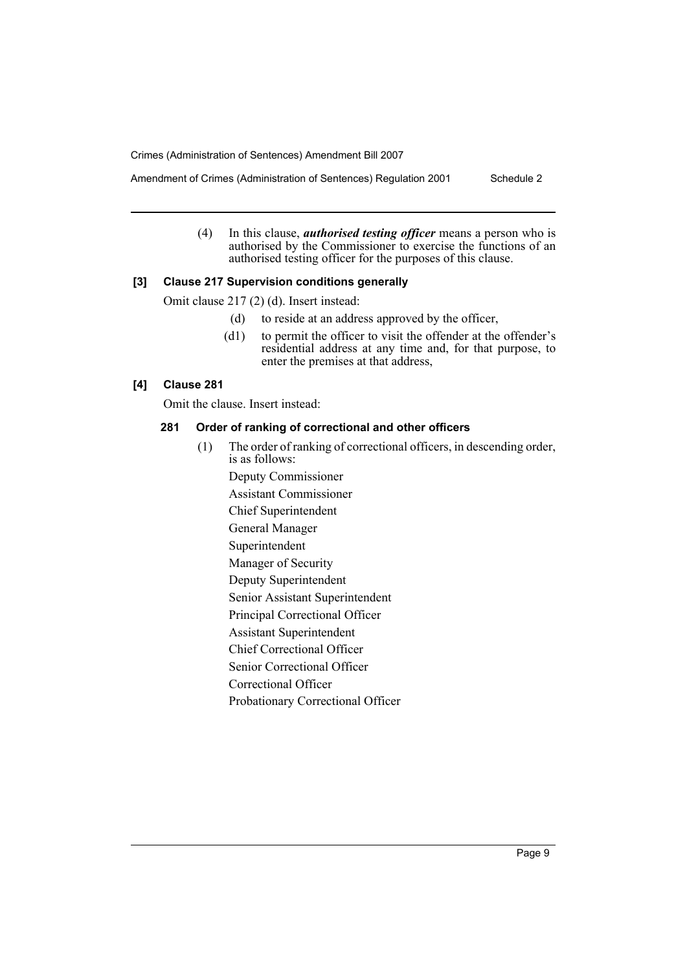(4) In this clause, *authorised testing officer* means a person who is authorised by the Commissioner to exercise the functions of an authorised testing officer for the purposes of this clause.

# **[3] Clause 217 Supervision conditions generally**

Omit clause 217 (2) (d). Insert instead:

- (d) to reside at an address approved by the officer,
- (d1) to permit the officer to visit the offender at the offender's residential address at any time and, for that purpose, to enter the premises at that address,

# **[4] Clause 281**

Omit the clause. Insert instead:

#### **281 Order of ranking of correctional and other officers**

(1) The order of ranking of correctional officers, in descending order, is as follows:

Deputy Commissioner

Assistant Commissioner

Chief Superintendent

General Manager

Superintendent

Manager of Security

Deputy Superintendent

Senior Assistant Superintendent

Principal Correctional Officer

Assistant Superintendent

Chief Correctional Officer

Senior Correctional Officer

Correctional Officer

Probationary Correctional Officer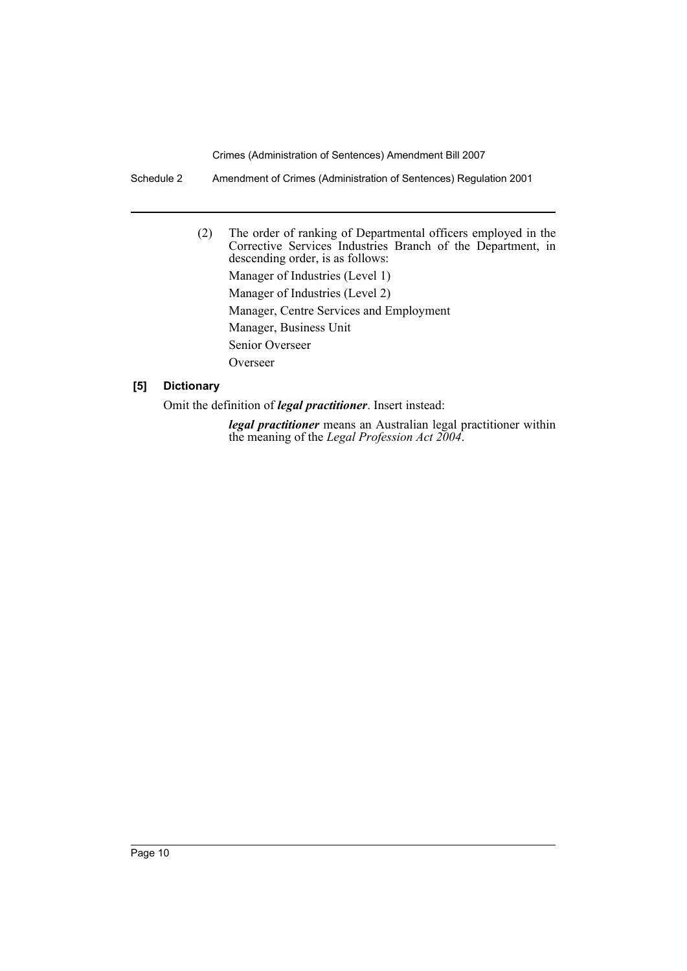Schedule 2 Amendment of Crimes (Administration of Sentences) Regulation 2001

(2) The order of ranking of Departmental officers employed in the Corrective Services Industries Branch of the Department, in descending order, is as follows: Manager of Industries (Level 1) Manager of Industries (Level 2) Manager, Centre Services and Employment Manager, Business Unit Senior Overseer Overseer

# **[5] Dictionary**

Omit the definition of *legal practitioner*. Insert instead:

*legal practitioner* means an Australian legal practitioner within the meaning of the *Legal Profession Act 2004*.